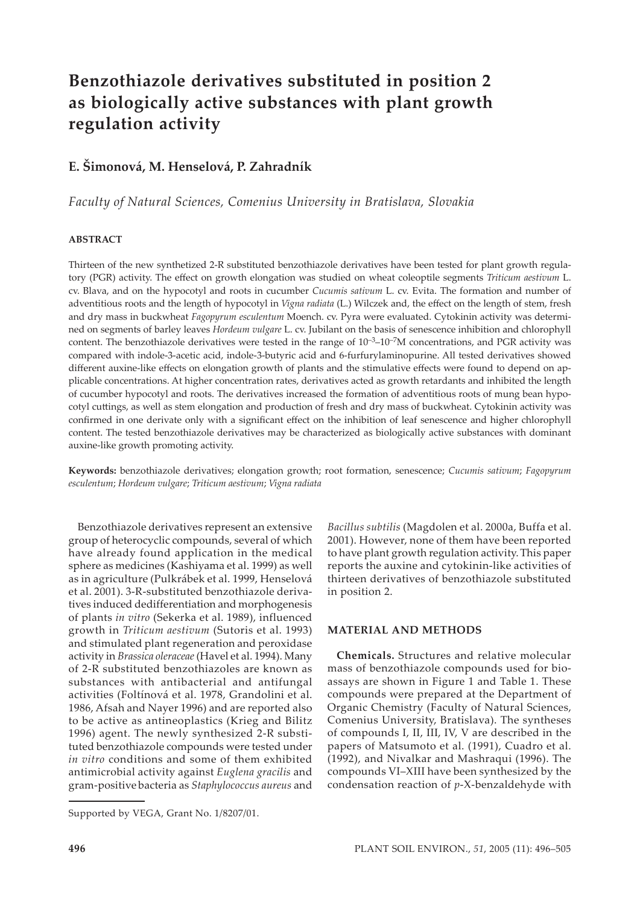# **Benzothiazole derivatives substituted in position 2 as biologically active substances with plant growth regulation activity**

# **E. Šimonová, M. Henselová, P. Zahradník**

*Faculty of Natural Sciences, Comenius University in Bratislava, Slovakia*

#### **ABSTRACT**

Thirteen of the new synthetized 2-R substituted benzothiazole derivatives have been tested for plant growth regulatory (PGR) activity. The effect on growth elongation was studied on wheat coleoptile segments *Triticum aestivum* L. cv. Blava, and on the hypocotyl and roots in cucumber *Cucumis sativum* L. cv. Evita. The formation and number of adventitious roots and the length of hypocotyl in *Vigna radiata* (L.) Wilczek and, the effect on the length of stem, fresh and dry mass in buckwheat *Fagopyrum esculentum* Moench. cv. Pyra were evaluated. Cytokinin activity was determined on segments of barley leaves *Hordeum vulgare* L. cv. Jubilant on the basis of senescence inhibition and chlorophyll content. The benzothiazole derivatives were tested in the range of  $10^{-3}-10^{-7}M$  concentrations, and PGR activity was compared with indole-3-acetic acid, indole-3-butyric acid and 6-furfurylaminopurine. All tested derivatives showed different auxine-like effects on elongation growth of plants and the stimulative effects were found to depend on applicable concentrations. At higher concentration rates, derivatives acted as growth retardants and inhibited the length of cucumber hypocotyl and roots. The derivatives increased the formation of adventitious roots of mung bean hypocotyl cuttings, as well as stem elongation and production of fresh and dry mass of buckwheat. Cytokinin activity was confirmed in one derivate only with a significant effect on the inhibition of leaf senescence and higher chlorophyll content. The tested benzothiazole derivatives may be characterized as biologically active substances with dominant auxine-like growth promoting activity.

**Keywords:** benzothiazole derivatives; elongation growth; root formation, senescence; *Cucumis sativum*; *Fagopyrum esculentum*; *Hordeum vulgare*; *Triticum aestivum*; *Vigna radiata*

Benzothiazole derivatives represent an extensive group of heterocyclic compounds, several of which have already found application in the medical sphere as medicines (Kashiyama et al. 1999) as well as in agriculture (Pulkrábek et al. 1999, Henselová et al. 2001). 3-R-substituted benzothiazole derivatives induced dedifferentiation and morphogenesis of plants *in vitro* (Sekerka et al. 1989), influenced growth in *Triticum aestivum* (Sutoris et al. 1993) and stimulated plant regeneration and peroxidase activity in *Brassica oleraceae* (Havel et al. 1994). Many of 2-R substituted benzothiazoles are known as substances with antibacterial and antifungal activities (Foltínová et al. 1978, Grandolini et al. 1986, Afsah and Nayer 1996) and are reported also to be active as antineoplastics (Krieg and Bilitz 1996) agent. The newly synthesized 2-R substituted benzothiazole compounds were tested under *in vitro* conditions and some of them exhibited antimicrobial activity against *Euglena gracilis* and gram-positive bacteria as *Staphylococcus aureus* and

*Bacillus subtilis* (Magdolen et al. 2000a, Buffa et al. 2001). However, none of them have been reported to have plant growth regulation activity.This paper reports the auxine and cytokinin-like activities of thirteen derivatives of benzothiazole substituted in position 2.

#### **MATERIAL AND METHODS**

**Chemicals.** Structures and relative molecular mass of benzothiazole compounds used for bioassays are shown in Figure 1 and Table 1. These compounds were prepared at the Department of Organic Chemistry (Faculty of Natural Sciences, Comenius University, Bratislava). The syntheses of compounds I, II, III, IV, V are described in the papers of Matsumoto et al. (1991), Cuadro et al. (1992), and Nivalkar and Mashraqui (1996). The compounds VI–XIII have been synthesized by the condensation reaction of *p*-X-benzaldehyde with

Supported by VEGA, Grant No. 1/8207/01.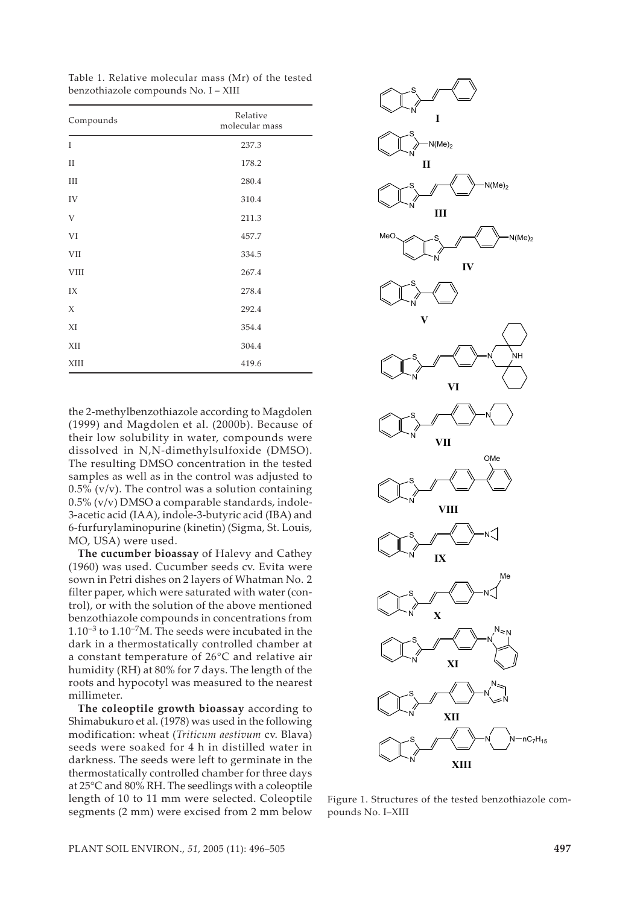Table 1. Relative molecular mass (Mr) of the tested benzothiazole compounds No. I – XIII

| Compounds   | Relative<br>molecular mass |  |
|-------------|----------------------------|--|
| T           | 237.3                      |  |
| $_{\rm II}$ | 178.2                      |  |
| III         | 280.4                      |  |
| IV          | 310.4                      |  |
| $\mathbf V$ | 211.3                      |  |
| VI          | 457.7                      |  |
| <b>VII</b>  | 334.5                      |  |
| <b>VIII</b> | 267.4                      |  |
| IX          | 278.4                      |  |
| X           | 292.4                      |  |
| XI          | 354.4                      |  |
| XII         | 304.4                      |  |
| XIII        | 419.6                      |  |

the 2-methylbenzothiazole according to Magdolen (1999) and Magdolen et al. (2000b). Because of their low solubility in water, compounds were dissolved in N,N-dimethylsulfoxide (DMSO). The resulting DMSO concentration in the tested samples as well as in the control was adjusted to  $0.5\%$  (v/v). The control was a solution containing 0.5% (v/v) DMSO a comparable standards, indole-3-acetic acid (IAA), indole-3-butyric acid (IBA) and 6-furfurylaminopurine (kinetin) (Sigma, St. Louis, MO, USA) were used.

**The cucumber bioassay** of Halevy and Cathey (1960) was used. Cucumber seeds cv. Evita were sown in Petri dishes on 2 layers of Whatman No. 2 filter paper, which were saturated with water (control), or with the solution of the above mentioned benzothiazole compounds in concentrations from  $1.10^{-3}$  to  $1.10^{-7}$ M. The seeds were incubated in the dark in a thermostatically controlled chamber at a constant temperature of 26°C and relative air humidity (RH) at 80% for 7 days. The length of the roots and hypocotyl was measured to the nearest millimeter.

**The coleoptile growth bioassay** according to Shimabukuro et al. (1978) was used in the following modification: wheat (*Triticum aestivum* cv. Blava) seeds were soaked for 4 h in distilled water in darkness. The seeds were left to germinate in the thermostatically controlled chamber for three days at 25°C and 80% RH. The seedlings with a coleoptile length of 10 to 11 mm were selected. Coleoptile segments (2 mm) were excised from 2 mm below



Figure 1. Structures of the tested benzothiazole compounds No. I–XIII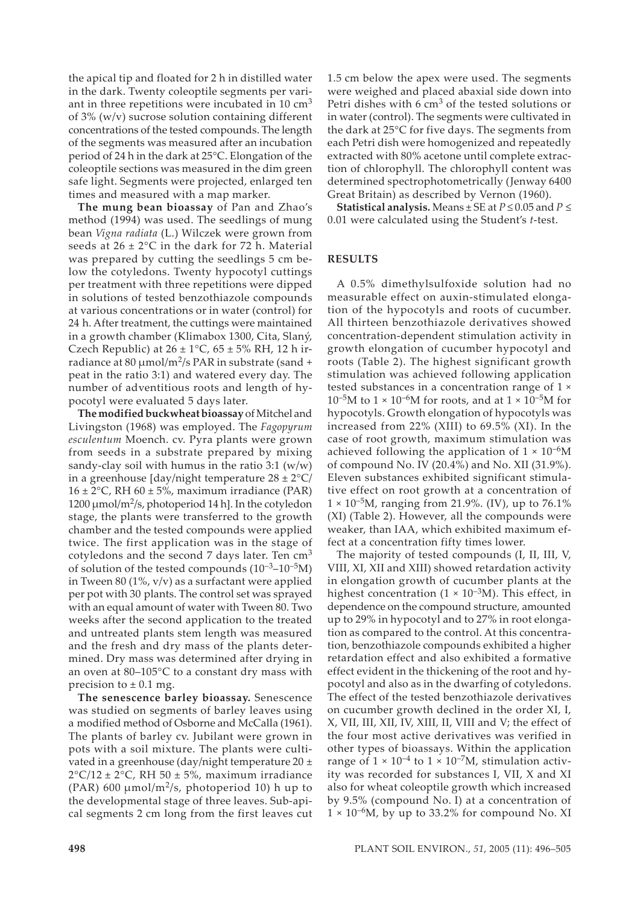the apical tip and floated for 2 h in distilled water in the dark. Twenty coleoptile segments per variant in three repetitions were incubated in 10  $\text{cm}^3$ of 3% (w/v) sucrose solution containing different concentrations of the tested compounds. The length of the segments was measured after an incubation period of 24 h in the dark at 25°C. Elongation of the coleoptile sections was measured in the dim green safe light. Segments were projected, enlarged ten times and measured with a map marker.

**The mung bean bioassay** of Pan and Zhao's method (1994) was used. The seedlings of mung bean *Vigna radiata* (L.) Wilczek were grown from seeds at  $26 \pm 2^{\circ}$ C in the dark for 72 h. Material was prepared by cutting the seedlings 5 cm below the cotyledons. Twenty hypocotyl cuttings per treatment with three repetitions were dipped in solutions of tested benzothiazole compounds at various concentrations or in water (control) for 24 h. After treatment, the cuttings were maintained in a growth chamber (Klimabox 1300, Cita, Slaný, Czech Republic) at  $26 \pm 1^{\circ}$ C,  $65 \pm 5\%$  RH, 12 h irradiance at 80 µmol/m<sup>2</sup>/s PAR in substrate (sand + peat in the ratio 3:1) and watered every day. The number of adventitious roots and length of hypocotyl were evaluated 5 days later.

**The modified buckwheat bioassay** of Mitchel and Livingston (1968) was employed. The *Fagopyrum esculentum* Moench. cv. Pyra plants were grown from seeds in a substrate prepared by mixing sandy-clay soil with humus in the ratio  $3:1 \frac{w}{w}$ in a greenhouse  $\frac{day}{night}$  temperature  $28 \pm 2^{\circ}C$  $16 \pm 2$ °C, RH  $60 \pm 5$ %, maximum irradiance (PAR)  $1200 \mu$ mol/m<sup>2</sup>/s, photoperiod 14 h]. In the cotyledon stage, the plants were transferred to the growth chamber and the tested compounds were applied twice. The first application was in the stage of cotyledons and the second 7 days later. Ten  $cm<sup>3</sup>$ of solution of the tested compounds  $(10^{-3}-10^{-5}M)$ in Tween 80 (1%,  $v/v$ ) as a surfactant were applied per pot with 30 plants. The control set was sprayed with an equal amount of water with Tween 80. Two weeks after the second application to the treated and untreated plants stem length was measured and the fresh and dry mass of the plants determined. Dry mass was determined after drying in an oven at 80–105°C to a constant dry mass with precision to  $\pm$  0.1 mg.

**The senescence barley bioassay.** Senescence was studied on segments of barley leaves using a modified method of Osborne and McCalla (1961). The plants of barley cv. Jubilant were grown in pots with a soil mixture. The plants were cultivated in a greenhouse (day/night temperature  $20 \pm$  $2^{\circ}$ C/12 ± 2 $^{\circ}$ C, RH 50 ± 5%, maximum irradiance (PAR) 600  $\mu$ mol/m<sup>2</sup>/s, photoperiod 10) h up to the developmental stage of three leaves. Sub-apical segments 2 cm long from the first leaves cut 1.5 cm below the apex were used. The segments were weighed and placed abaxial side down into Petri dishes with 6  $\text{cm}^3$  of the tested solutions or in water (control). The segments were cultivated in the dark at 25°C for five days. The segments from each Petri dish were homogenized and repeatedly extracted with 80% acetone until complete extraction of chlorophyll. The chlorophyll content was determined spectrophotometrically (Jenway 6400 Great Britain) as described by Vernon (1960).

**Statistical analysis.** Means  $\pm$  SE at  $P \le 0.05$  and  $P \le$ 0.01 were calculated using the Student's *t*-test.

#### **RESULTS**

A 0.5% dimethylsulfoxide solution had no measurable effect on auxin-stimulated elongation of the hypocotyls and roots of cucumber. All thirteen benzothiazole derivatives showed concentration-dependent stimulation activity in growth elongation of cucumber hypocotyl and roots (Table 2). The highest significant growth stimulation was achieved following application tested substances in a concentration range of 1 ×  $10^{-5}$ M to  $1 \times 10^{-6}$ M for roots, and at  $1 \times 10^{-5}$ M for hypocotyls. Growth elongation of hypocotyls was increased from 22% (XIII) to 69.5% (XI). In the case of root growth, maximum stimulation was achieved following the application of  $1 \times 10^{-6}$ M of compound No. IV (20.4%) and No. XII (31.9%). Eleven substances exhibited significant stimulative effect on root growth at a concentration of  $1 \times 10^{-5}$ M, ranging from 21.9%. (IV), up to 76.1% (XI) (Table 2). However, all the compounds were weaker, than IAA, which exhibited maximum effect at a concentration fifty times lower.

The majority of tested compounds (I, II, III, V, VIII, XI, XII and XIII) showed retardation activity in elongation growth of cucumber plants at the highest concentration  $(1 \times 10^{-3} M)$ . This effect, in dependence on the compound structure, amounted up to 29% in hypocotyl and to 27% in root elongation as compared to the control. At this concentration, benzothiazole compounds exhibited a higher retardation effect and also exhibited a formative effect evident in the thickening of the root and hypocotyl and also as in the dwarfing of cotyledons. The effect of the tested benzothiazole derivatives on cucumber growth declined in the order XI, I, X, VII, III, XII, IV, XIII, II, VIII and V; the effect of the four most active derivatives was verified in other types of bioassays. Within the application range of  $1 \times 10^{-4}$  to  $1 \times 10^{-7}$ M, stimulation activity was recorded for substances I, VII, X and XI also for wheat coleoptile growth which increased by 9.5% (compound No. I) at a concentration of  $1 \times 10^{-6}$ M, by up to 33.2% for compound No. XI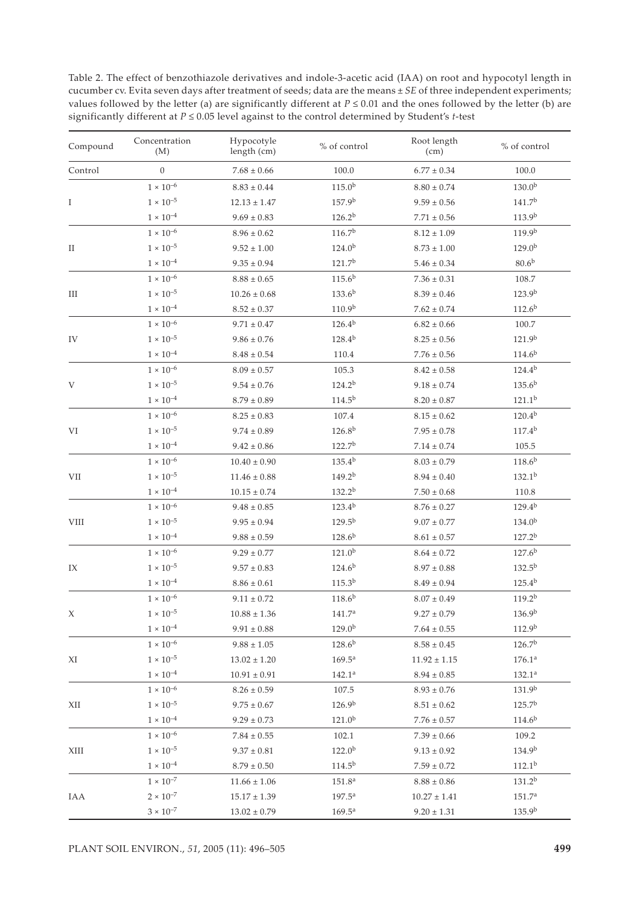Table 2. The effect of benzothiazole derivatives and indole-3-acetic acid (IAA) on root and hypocotyl length in cucumber cv. Evita seven days after treatment of seeds; data are the means ± *SE* of three independent experiments; values followed by the letter (a) are significantly different at *P* ≤ 0.01 and the ones followed by the letter (b) are significantly different at *P* ≤ 0.05 level against to the control determined by Student's *t*-test

| Compound                     | Concentration<br>(M) | Hypocotyle<br>length (cm) | % of control       | Root length<br>(cm) | % of control       |
|------------------------------|----------------------|---------------------------|--------------------|---------------------|--------------------|
| Control                      | $\boldsymbol{0}$     | $7.68 \pm 0.66$           | 100.0              | $6.77 \pm 0.34$     | 100.0              |
|                              | $1\times10^{-6}$     | $8.83\pm0.44$             | $115.0^{b}$        | $8.80 \pm 0.74$     | $130.0^{b}$        |
| I                            | $1 \times 10^{-5}$   | $12.13 \pm 1.47$          | 157.9 <sup>b</sup> | $9.59 \pm 0.56$     | 141.7 <sup>b</sup> |
|                              | $1 \times 10^{-4}$   | $9.69 \pm 0.83$           | $126.2^{b}$        | $7.71\pm0.56$       | 113.9b             |
|                              | $1\times10^{-6}$     | $8.96 \pm 0.62$           | 116.7 <sup>b</sup> | $8.12 \pm 1.09$     | 119.9 <sup>b</sup> |
| $\rm II$                     | $1 \times 10^{-5}$   | $9.52 \pm 1.00$           | $124.0^{b}$        | $8.73 \pm 1.00$     | $129.0^{b}$        |
|                              | $1 \times 10^{-4}$   | $9.35 \pm 0.94$           | 121.7 <sup>b</sup> | $5.46 \pm 0.34$     | 80.6 <sup>b</sup>  |
|                              | $1 \times 10^{-6}$   | $8.88\pm0.65$             | $115.6^{b}$        | $7.36\pm0.31$       | 108.7              |
| Ш                            | $1 \times 10^{-5}$   | $10.26 \pm 0.68$          | $133.6^{b}$        | $8.39 \pm 0.46$     | 123.9 <sup>b</sup> |
|                              | $1 \times 10^{-4}$   | $8.52 \pm 0.37$           | 110.9 <sup>b</sup> | $7.62 \pm 0.74$     | 112.6 <sup>b</sup> |
|                              | $1\times10^{-6}$     | $9.71 \pm 0.47$           | $126.4^{b}$        | $6.82 \pm 0.66$     | 100.7              |
| IV                           | $1 \times 10^{-5}$   | $9.86 \pm 0.76$           | $128.4^{b}$        | $8.25\pm0.56$       | 121.9b             |
|                              | $1 \times 10^{-4}$   | $8.48\pm0.54$             | 110.4              | $7.76 \pm 0.56$     | $114.6^{b}$        |
|                              | $1 \times 10^{-6}$   | $8.09\pm0.57$             | 105.3              | $8.42 \pm 0.58$     | $124.4^{b}$        |
| V                            | $1 \times 10^{-5}$   | $9.54 \pm 0.76$           | $124.2^{b}$        | $9.18 \pm 0.74$     | $135.6^{b}$        |
|                              | $1 \times 10^{-4}$   | $8.79 \pm 0.89$           | $114.5^{b}$        | $8.20 \pm 0.87$     | $121.1^{b}$        |
|                              | $1 \times 10^{-6}$   | $8.25 \pm 0.83$           | 107.4              | $8.15 \pm 0.62$     | $120.4^{b}$        |
| VI                           | $1 \times 10^{-5}$   | $9.74 \pm 0.89$           | $126.8^{b}$        | $7.95 \pm 0.78$     | $117.4^{b}$        |
|                              | $1 \times 10^{-4}$   | $9.42 \pm 0.86$           | 122.7 <sup>b</sup> | $7.14 \pm 0.74$     | 105.5              |
|                              | $1 \times 10^{-6}$   | $10.40 \pm 0.90$          | $135.4^{b}$        | $8.03 \pm 0.79$     | $118.6^{b}$        |
| $\ensuremath{\mathrm{VII}}$  | $1\times10^{-5}$     | $11.46 \pm 0.88$          | $149.2^{b}$        | $8.94 \pm 0.40$     | $132.1^{b}$        |
|                              | $1 \times 10^{-4}$   | $10.15 \pm 0.74$          | $132.2^{b}$        | $7.50 \pm 0.68$     | 110.8              |
|                              | $1\times10^{-6}$     | $9.48 \pm 0.85$           | $123.4^{b}$        | $8.76 \pm 0.27$     | $129.4^{b}$        |
| $\ensuremath{\mathsf{VIII}}$ | $1 \times 10^{-5}$   | $9.95 \pm 0.94$           | $129.5^{b}$        | $9.07 \pm 0.77$     | $134.0^{b}$        |
|                              | $1 \times 10^{-4}$   | $9.88 \pm 0.59$           | $128.6^{b}$        | $8.61\pm0.57$       | $127.2^{b}$        |
|                              | $1\times10^{-6}$     | $9.29 \pm 0.77$           | $121.0^{b}$        | $8.64 \pm 0.72$     | 127.6 <sup>b</sup> |
| IX                           | $1 \times 10^{-5}$   | $9.57 \pm 0.83$           | $124.6^{b}$        | $8.97 \pm 0.88$     | $132.5^{b}$        |
|                              | $1\times10^{-4}$     | $8.86\pm0.61$             | $115.3^{b}$        | $8.49 \pm 0.94$     | $125.4^{b}$        |
|                              | $1\times10^{-6}$     | $9.11 \pm 0.72$           | $118.6^{b}$        | $8.07 \pm 0.49$     | 119.2 <sup>b</sup> |
| Х                            | $1 \times 10^{-5}$   | $10.88 \pm 1.36$          | 141.7 <sup>a</sup> | $9.27 \pm 0.79$     | 136.9 <sup>b</sup> |
|                              | $1 \times 10^{-4}$   | $9.91 \pm 0.88$           | 129.0 <sup>b</sup> | $7.64 \pm 0.55$     | 112.9 <sup>b</sup> |
|                              | $1 \times 10^{-6}$   | $9.88 \pm 1.05$           | $128.6^{b}$        | $8.58 \pm 0.45$     | 126.7 <sup>b</sup> |
| ΧI                           | $1 \times 10^{-5}$   | $13.02 \pm 1.20$          | $169.5^{\rm a}$    | $11.92 \pm 1.15$    | 176.1 <sup>a</sup> |
|                              | $1 \times 10^{-4}$   | $10.91\pm0.91$            | 142.1 <sup>a</sup> | $8.94\pm0.85$       | $132.1^{\rm a}$    |
|                              | $1 \times 10^{-6}$   | $8.26 \pm 0.59$           | 107.5              | $8.93 \pm 0.76$     | 131.9 <sup>b</sup> |
| XІІ                          | $1 \times 10^{-5}$   | $9.75 \pm 0.67$           | 126.9 <sup>b</sup> | $8.51 \pm 0.62$     | 125.7 <sup>b</sup> |
|                              | $1 \times 10^{-4}$   | $9.29 \pm 0.73$           | $121.0^{b}$        | $7.76\pm0.57$       | 114.6 <sup>b</sup> |
|                              | $1 \times 10^{-6}$   | $7.84 \pm 0.55$           | 102.1              | $7.39 \pm 0.66$     | 109.2              |
| XIII                         | $1 \times 10^{-5}$   | $9.37 \pm 0.81$           | $122.0^{b}$        | $9.13 \pm 0.92$     | 134.9b             |
|                              | $1 \times 10^{-4}$   | $8.79\pm0.50$             | 114.5 <sup>b</sup> | $7.59 \pm 0.72$     | 112.1 <sup>b</sup> |
|                              | $1\times10^{-7}$     | $11.66 \pm 1.06$          | 151.8 <sup>a</sup> | $8.88\pm0.86$       | $131.2^{b}$        |
| IAA                          | $2 \times 10^{-7}$   | $15.17 \pm 1.39$          | $197.5^{\text{a}}$ | $10.27 \pm 1.41$    | 151.7 <sup>a</sup> |
|                              | $3\times10^{-7}$     | $13.02 \pm 0.79$          | $169.5^{\rm a}$    | $9.20 \pm 1.31$     | 135.9b             |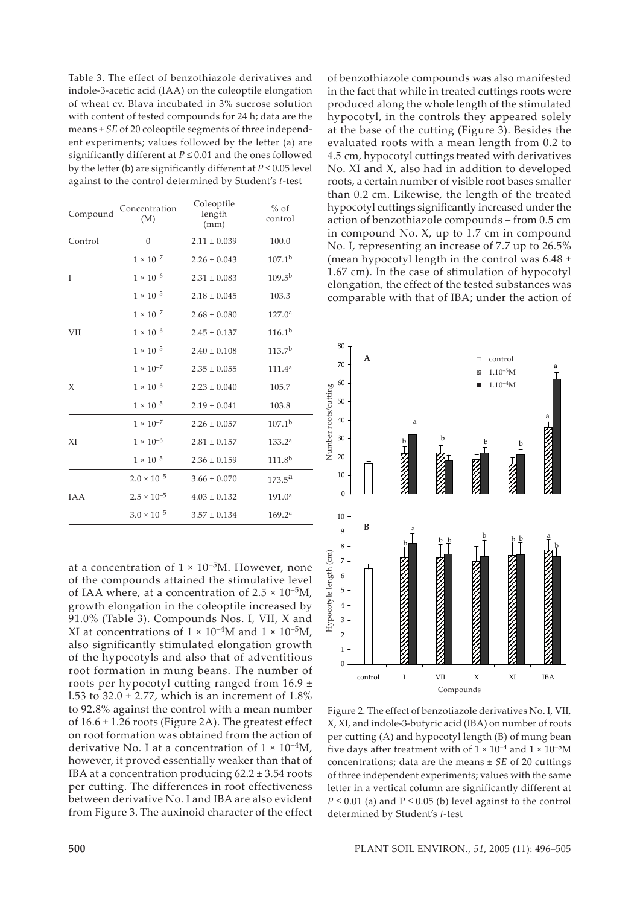Table 3. The effect of benzothiazole derivatives and indole-3-acetic acid (IAA) on the coleoptile elongation of wheat cv. Blava incubated in 3% sucrose solution with content of tested compounds for 24 h; data are the means ± *SE* of 20 coleoptile segments of three independent experiments; values followed by the letter (a) are significantly different at *P* ≤ 0.01 and the ones followed by the letter (b) are significantly different at  $P \le 0.05$  level against to the control determined by Student's *t*-test

| Compound   | Concentration<br>(M) | Coleoptile<br>length<br>(mm) | $%$ of<br>control  |
|------------|----------------------|------------------------------|--------------------|
| Control    | $\overline{0}$       | $2.11 \pm 0.039$             | 100.0              |
|            | $1 \times 10^{-7}$   | $2.26 \pm 0.043$             | $107.1^{b}$        |
| I          | $1 \times 10^{-6}$   | $2.31 \pm 0.083$             | $109.5^{b}$        |
|            | $1 \times 10^{-5}$   | $2.18 \pm 0.045$             | 103.3              |
|            | $1 \times 10^{-7}$   | $2.68 \pm 0.080$             | 127.0 <sup>a</sup> |
| VІІ        | $1\times10^{-6}$     | $2.45 \pm 0.137$             | $116.1^{b}$        |
|            | $1 \times 10^{-5}$   | $2.40 \pm 0.108$             | 113.7 <sup>b</sup> |
|            | $1 \times 10^{-7}$   | $2.35 \pm 0.055$             | 111.4 <sup>a</sup> |
| X          | $1\times10^{-6}$     | $2.23 \pm 0.040$             | 105.7              |
|            | $1\times10^{-5}$     | $2.19 \pm 0.041$             | 103.8              |
|            | $1 \times 10^{-7}$   | $2.26 \pm 0.057$             | $107.1^{b}$        |
| XI         | $1 \times 10^{-6}$   | $2.81 \pm 0.157$             | 133.2 <sup>a</sup> |
|            | $1 \times 10^{-5}$   | $2.36 \pm 0.159$             | 111.8 <sup>b</sup> |
|            | $2.0 \times 10^{-5}$ | $3.66 \pm 0.070$             | $173.5^{\rm a}$    |
| <b>TAA</b> | $2.5 \times 10^{-5}$ | $4.03 \pm 0.132$             | 191.0 <sup>a</sup> |
|            | $3.0 \times 10^{-5}$ | $3.57 \pm 0.134$             | 169.2 <sup>a</sup> |

at a concentration of  $1 \times 10^{-5}$ M. However, none of the compounds attained the stimulative level of IAA where, at a concentration of  $2.5 \times 10^{-5}$ M, growth elongation in the coleoptile increased by 91.0% (Table 3). Compounds Nos. I, VII, X and XI at concentrations of  $1 \times 10^{-4}$ M and  $1 \times 10^{-5}$ M, also significantly stimulated elongation growth of the hypocotyls and also that of adventitious root formation in mung beans. The number of roots per hypocotyl cutting ranged from 16.9 ± 1.53 to  $32.0 \pm 2.77$ , which is an increment of  $1.8\%$ to 92.8% against the control with a mean number of  $16.6 \pm 1.26$  roots (Figure 2A). The greatest effect on root formation was obtained from the action of derivative No. I at a concentration of  $1 \times 10^{-4}$ M. however, it proved essentially weaker than that of IBA at a concentration producing  $62.2 \pm 3.54$  roots per cutting. The differences in root effectiveness between derivative No. I and IBA are also evident from Figure 3. The auxinoid character of the effect of benzothiazole compounds was also manifested in the fact that while in treated cuttings roots were produced along the whole length of the stimulated hypocotyl, in the controls they appeared solely at the base of the cutting (Figure 3). Besides the evaluated roots with a mean length from 0.2 to 4.5 cm, hypocotyl cuttings treated with derivatives No. XI and X, also had in addition to developed roots, a certain number of visible root bases smaller than 0.2 cm. Likewise, the length of the treated hypocotyl cuttings significantly increased under the action of benzothiazole compounds – from 0.5 cm in compound No. X, up to 1.7 cm in compound No. I, representing an increase of 7.7 up to 26.5% (mean hypocotyl length in the control was  $6.48 \pm$ 1.67 cm). In the case of stimulation of hypocotyl elongation, the effect of the tested substances was comparable with that of IBA; under the action of



Figure 2. The effect of benzotiazole derivatives No. I, VII, X, XI, and indole-3-butyric acid (IBA) on number of roots per cutting (A) and hypocotyl length (B) of mung bean five days after treatment with of  $1 \times 10^{-4}$  and  $1 \times 10^{-5}$ M concentrations; data are the means ± *SE* of 20 cuttings of three independent experiments; values with the same letter in a vertical column are significantly different at  $P \le 0.01$  (a) and  $P \le 0.05$  (b) level against to the control determined by Student's *t*-test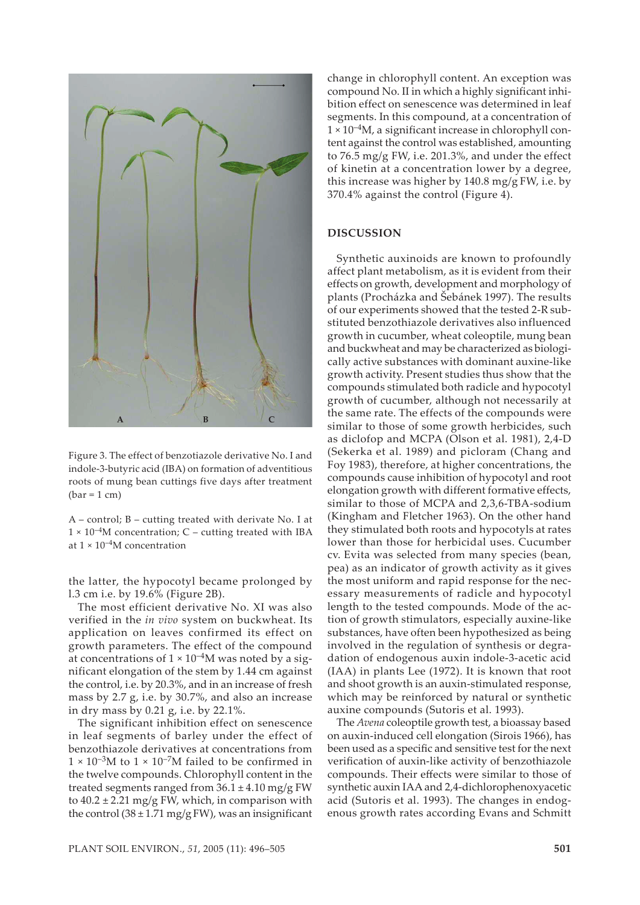

Figure 3. The effect of benzotiazole derivative No. I and indole-3-butyric acid (IBA) on formation of adventitious roots of mung bean cuttings five days after treatment  $(bar = 1 cm)$ 

A – control; B – cutting treated with derivate No. I at  $1 \times 10^{-4}$ M concentration; C – cutting treated with IBA at  $1 \times 10^{-4}$ M concentration

the latter, the hypocotyl became prolonged by l.3 cm i.e. by 19.6% (Figure 2B).

The most efficient derivative No. XI was also verified in the *in vivo* system on buckwheat. Its application on leaves confirmed its effect on growth parameters. The effect of the compound at concentrations of  $1 \times 10^{-4}$ M was noted by a significant elongation of the stem by 1.44 cm against the control, i.e. by 20.3%, and in an increase of fresh mass by 2.7 g, i.e. by 30.7%, and also an increase in dry mass by 0.21 g, i.e. by 22.1%.

The significant inhibition effect on senescence in leaf segments of barley under the effect of benzothiazole derivatives at concentrations from  $1 \times 10^{-3}$ M to  $1 \times 10^{-7}$ M failed to be confirmed in the twelve compounds. Chlorophyll content in the treated segments ranged from  $36.1 \pm 4.10$  mg/g FW to  $40.2 \pm 2.21$  mg/g FW, which, in comparison with the control  $(38 \pm 1.71 \text{ mg/gFW})$ , was an insignificant

change in chlorophyll content. An exception was compound No. II in which a highly significant inhibition effect on senescence was determined in leaf segments. In this compound, at a concentration of  $1 \times 10^{-4}$ M, a significant increase in chlorophyll content against the control was established, amounting to 76.5 mg/g FW, i.e. 201.3%, and under the effect of kinetin at a concentration lower by a degree, this increase was higher by 140.8 mg/g FW, i.e. by 370.4% against the control (Figure 4).

#### **DISCUSSION**

Synthetic auxinoids are known to profoundly affect plant metabolism, as it is evident from their effects on growth, development and morphology of plants (Procházka and Šebánek 1997). The results of our experiments showed that the tested 2-R substituted benzothiazole derivatives also influenced growth in cucumber, wheat coleoptile, mung bean and buckwheat and may be characterized as biologically active substances with dominant auxine-like growth activity. Present studies thus show that the compounds stimulated both radicle and hypocotyl growth of cucumber, although not necessarily at the same rate. The effects of the compounds were similar to those of some growth herbicides, such as diclofop and MCPA (Olson et al. 1981), 2,4-D (Sekerka et al. 1989) and picloram (Chang and Foy 1983), therefore, at higher concentrations, the compounds cause inhibition of hypocotyl and root elongation growth with different formative effects, similar to those of MCPA and 2,3,6-TBA-sodium (Kingham and Fletcher 1963). On the other hand they stimulated both roots and hypocotyls at rates lower than those for herbicidal uses. Cucumber cv. Evita was selected from many species (bean, pea) as an indicator of growth activity as it gives the most uniform and rapid response for the necessary measurements of radicle and hypocotyl length to the tested compounds. Mode of the action of growth stimulators, especially auxine-like substances, have often been hypothesized as being involved in the regulation of synthesis or degradation of endogenous auxin indole-3-acetic acid (IAA) in plants Lee (1972). It is known that root and shoot growth is an auxin-stimulated response, which may be reinforced by natural or synthetic auxine compounds (Sutoris et al. 1993).

The *Avena* coleoptile growth test, a bioassay based on auxin-induced cell elongation (Sirois 1966), has been used as a specific and sensitive test for the next verification of auxin-like activity of benzothiazole compounds. Their effects were similar to those of synthetic auxin IAA and 2,4-dichlorophenoxyacetic acid (Sutoris et al. 1993). The changes in endogenous growth rates according Evans and Schmitt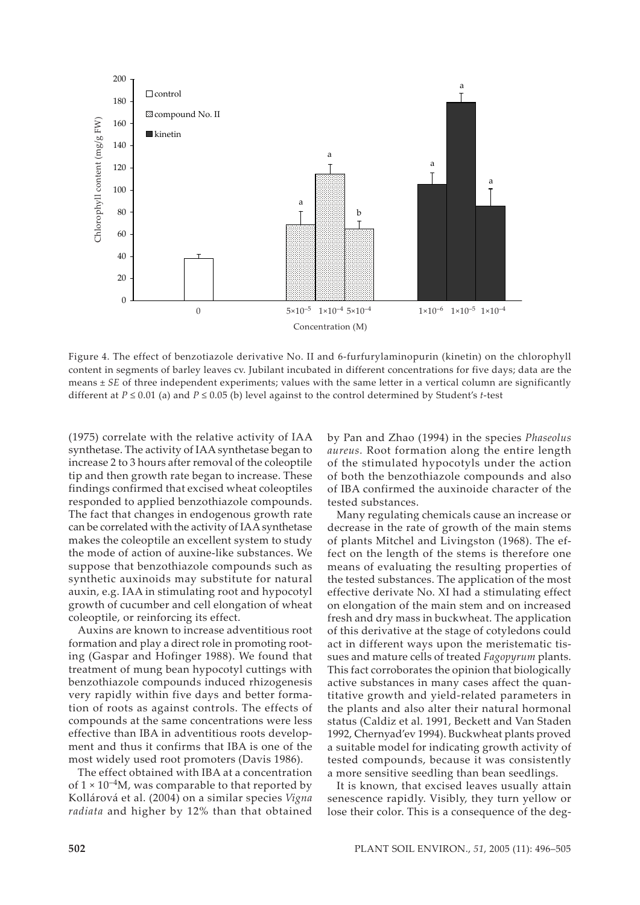

Figure 4. The effect of benzotiazole derivative No. II and 6-furfurylaminopurin (kinetin) on the chlorophyll content in segments of barley leaves cv. Jubilant incubated in different concentrations for five days; data are the means  $\pm$  *SE* of three independent experiments; values with the same letter in a vertical column are significantly different at *P* ≤ 0.01 (a) and *P* ≤ 0.05 (b) level against to the control determined by Student's *t*-test

(1975) correlate with the relative activity of IAA synthetase. The activity of IAA synthetase began to increase 2 to 3 hours after removal of the coleoptile tip and then growth rate began to increase. These findings confirmed that excised wheat coleoptiles responded to applied benzothiazole compounds. The fact that changes in endogenous growth rate can be correlated with the activity of IAA synthetase makes the coleoptile an excellent system to study the mode of action of auxine-like substances. We suppose that benzothiazole compounds such as synthetic auxinoids may substitute for natural auxin, e.g. IAA in stimulating root and hypocotyl growth of cucumber and cell elongation of wheat coleoptile, or reinforcing its effect.

Auxins are known to increase adventitious root formation and play a direct role in promoting rooting (Gaspar and Hofinger 1988). We found that treatment of mung bean hypocotyl cuttings with benzothiazole compounds induced rhizogenesis very rapidly within five days and better formation of roots as against controls. The effects of compounds at the same concentrations were less effective than IBA in adventitious roots development and thus it confirms that IBA is one of the most widely used root promoters (Davis 1986).

The effect obtained with IBA at a concentration of  $1 \times 10^{-4}$ M, was comparable to that reported by Kollárová et al. (2004) on a similar species *Vigna radiata* and higher by 12% than that obtained by Pan and Zhao (1994) in the species *Phaseolus aureus.* Root formation along the entire length of the stimulated hypocotyls under the action of both the benzothiazole compounds and also of IBA confirmed the auxinoide character of the tested substances.

Many regulating chemicals cause an increase or decrease in the rate of growth of the main stems of plants Mitchel and Livingston (1968). The effect on the length of the stems is therefore one means of evaluating the resulting properties of the tested substances. The application of the most effective derivate No. XI had a stimulating effect on elongation of the main stem and on increased fresh and dry mass in buckwheat. The application of this derivative at the stage of cotyledons could act in different ways upon the meristematic tissues and mature cells of treated *Fagopyrum* plants. This fact corroborates the opinion that biologically active substances in many cases affect the quantitative growth and yield-related parameters in the plants and also alter their natural hormonal status (Caldiz et al. 1991, Beckett and Van Staden 1992, Chernyad'ev 1994). Buckwheat plants proved a suitable model for indicating growth activity of tested compounds, because it was consistently a more sensitive seedling than bean seedlings.

It is known, that excised leaves usually attain senescence rapidly. Visibly, they turn yellow or lose their color. This is a consequence of the deg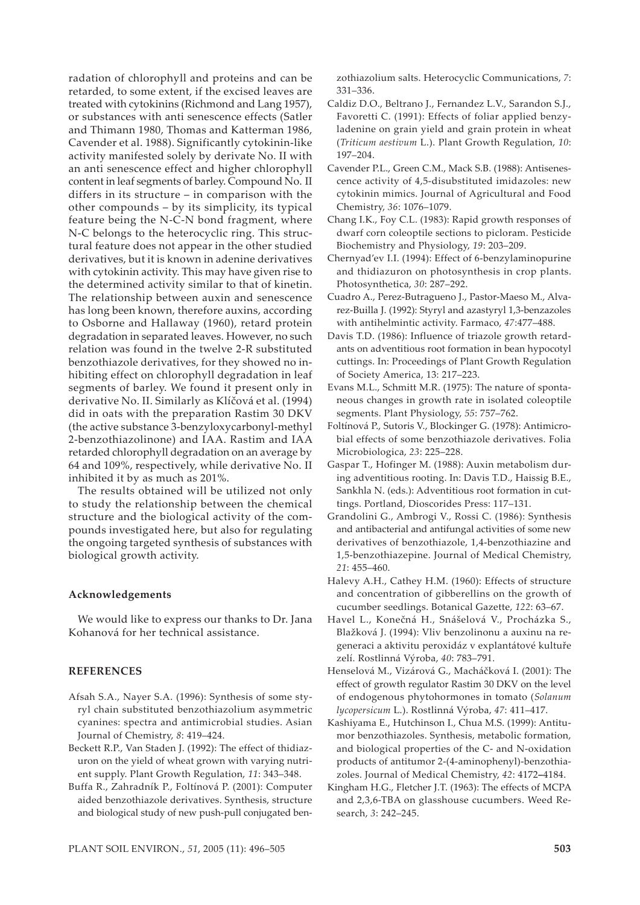radation of chlorophyll and proteins and can be retarded, to some extent, if the excised leaves are treated with cytokinins (Richmond and Lang 1957), or substances with anti senescence effects (Satler and Thimann 1980, Thomas and Katterman 1986, Cavender et al. 1988). Significantly cytokinin-like activity manifested solely by derivate No. II with an anti senescence effect and higher chlorophyll content in leaf segments of barley. Compound No. II differs in its structure – in comparison with the other compounds – by its simplicity, its typical feature being the N-C-N bond fragment, where N-C belongs to the heterocyclic ring. This structural feature does not appear in the other studied derivatives, but it is known in adenine derivatives with cytokinin activity. This may have given rise to the determined activity similar to that of kinetin. The relationship between auxin and senescence has long been known, therefore auxins, according to Osborne and Hallaway (1960), retard protein degradation in separated leaves. However, no such relation was found in the twelve 2-R substituted benzothiazole derivatives, for they showed no inhibiting effect on chlorophyll degradation in leaf segments of barley. We found it present only in derivative No. II. Similarly as Klíčová et al. (1994) did in oats with the preparation Rastim 30 DKV (the active substance 3-benzyloxycarbonyl-methyl 2-benzothiazolinone) and IAA. Rastim and IAA retarded chlorophyll degradation on an average by 64 and 109%, respectively, while derivative No. II inhibited it by as much as 201%.

The results obtained will be utilized not only to study the relationship between the chemical structure and the biological activity of the compounds investigated here, but also for regulating the ongoing targeted synthesis of substances with biological growth activity.

#### **Acknowledgements**

We would like to express our thanks to Dr. Jana Kohanová for her technical assistance.

## **REFERENCES**

- Afsah S.A., Nayer S.A. (1996): Synthesis of some styryl chain substituted benzothiazolium asymmetric cyanines: spectra and antimicrobial studies. Asian Journal of Chemistry, *8*: 419–424.
- Beckett R.P., Van Staden J. (1992): The effect of thidiazuron on the yield of wheat grown with varying nutrient supply. Plant Growth Regulation, *11*: 343–348.
- Buffa R., Zahradník P., Foltínová P. (2001): Computer aided benzothiazole derivatives. Synthesis, structure and biological study of new push-pull conjugated ben-

zothiazolium salts. Heterocyclic Communications, *7*: 331–336.

- Caldiz D.O., Beltrano J., Fernandez L.V., Sarandon S.J., Favoretti C. (1991): Effects of foliar applied benzyladenine on grain yield and grain protein in wheat (*Triticum aestivum* L.). Plant Growth Regulation, *10*: 197–204.
- Cavender P.L., Green C.M., Mack S.B. (1988): Antisenescence activity of 4,5-disubstituted imidazoles: new cytokinin mimics. Journal of Agricultural and Food Chemistry, *36*: 1076–1079.
- Chang I.K., Foy C.L. (1983): Rapid growth responses of dwarf corn coleoptile sections to picloram. Pesticide Biochemistry and Physiology, *19*: 203–209.
- Chernyad'ev I.I. (1994): Effect of 6-benzylaminopurine and thidiazuron on photosynthesis in crop plants. Photosynthetica, *30*: 287–292.
- Cuadro A., Perez-Butragueno J., Pastor-Maeso M., Alvarez-Builla J. (1992): Styryl and azastyryl 1,3-benzazoles with antihelmintic activity. Farmaco, *47*:477–488.
- Davis T.D. (1986): Influence of triazole growth retardants on adventitious root formation in bean hypocotyl cuttings. In: Proceedings of Plant Growth Regulation of Society America, 13: 217–223.
- Evans M.L., Schmitt M.R. (1975): The nature of spontaneous changes in growth rate in isolated coleoptile segments. Plant Physiology, *55*: 757–762.
- Foltínová P., Sutoris V., Blockinger G. (1978): Antimicrobial effects of some benzothiazole derivatives. Folia Microbiologica, *23*: 225–228.
- Gaspar T., Hofinger M. (1988): Auxin metabolism during adventitious rooting. In: Davis T.D., Haissig B.E., Sankhla N. (eds.): Adventitious root formation in cuttings. Portland, Dioscorides Press: 117–131.
- Grandolini G., Ambrogi V., Rossi C. (1986): Synthesis and antibacterial and antifungal activities of some new derivatives of benzothiazole, 1,4-benzothiazine and 1,5-benzothiazepine. Journal of Medical Chemistry, *21*: 455–460.
- Halevy A.H., Cathey H.M. (1960): Effects of structure and concentration of gibberellins on the growth of cucumber seedlings. Botanical Gazette, *122*: 63–67.
- Havel L., Konečná H., Snášelová V., Procházka S., Blažková J. (1994): Vliv benzolinonu a auxinu na regeneraci a aktivitu peroxidáz v explantátové kultuře zelí. Rostlinná Výroba, *40*: 783–791.
- Henselová M., Vizárová G., Macháčková I. (2001): The effect of growth regulator Rastim 30 DKV on the level of endogenous phytohormones in tomato (*Solanum lycopersicum* L.). Rostlinná Výroba, *47*: 411–417.
- Kashiyama E., Hutchinson I., Chua M.S. (1999): Antitumor benzothiazoles. Synthesis, metabolic formation, and biological properties of the C- and N-oxidation products of antitumor 2-(4-aminophenyl)-benzothiazoles. Journal of Medical Chemistry, *42*: 4172**–**4184.
- Kingham H.G., Fletcher J.T. (1963): The effects of MCPA and 2,3,6-TBA on glasshouse cucumbers. Weed Research, *3*: 242–245.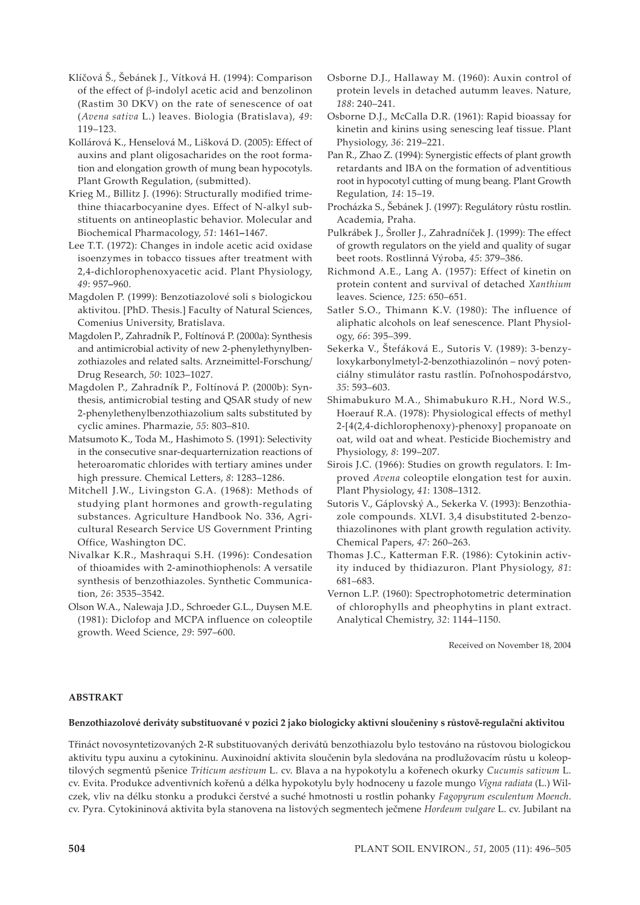- Klíčová Š., Šebánek J., Vítková H. (1994): Comparison of the effect of β-indolyl acetic acid and benzolinon (Rastim 30 DKV) on the rate of senescence of oat (*Avena sativa* L.) leaves. Biologia (Bratislava), *49*: 119–123.
- Kollárová K., Henselová M., Lišková D. (2005): Effect of auxins and plant oligosacharides on the root formation and elongation growth of mung bean hypocotyls. Plant Growth Regulation, (submitted).
- Krieg M., Billitz J. (1996): Structurally modified trimethine thiacarbocyanine dyes. Effect of N-alkyl substituents on antineoplastic behavior. Molecular and Biochemical Pharmacology, *51*: 1461**–**1467.
- Lee T.T. (1972): Changes in indole acetic acid oxidase isoenzymes in tobacco tissues after treatment with 2,4-dichlorophenoxyacetic acid. Plant Physiology, *49*: 957**–**960.
- Magdolen P. (1999): Benzotiazolové soli s biologickou aktivitou. [PhD. Thesis.] Faculty of Natural Sciences, Comenius University, Bratislava.
- Magdolen P., Zahradník P., Foltínová P. (2000a): Synthesis and antimicrobial activity of new 2-phenylethynylbenzothiazoles and related salts. Arzneimittel-Forschung/ Drug Research, *50*: 1023–1027.
- Magdolen P., Zahradník P., Foltínová P. (2000b): Synthesis, antimicrobial testing and QSAR study of new 2-phenylethenylbenzothiazolium salts substituted by cyclic amines. Pharmazie, *55*: 803–810.
- Matsumoto K., Toda M., Hashimoto S. (1991): Selectivity in the consecutive snar-dequarternization reactions of heteroaromatic chlorides with tertiary amines under high pressure. Chemical Letters, *8*: 1283–1286.
- Mitchell J.W., Livingston G.A. (1968): Methods of studying plant hormones and growth-regulating substances. Agriculture Handbook No. 336, Agricultural Research Service US Government Printing Office, Washington DC.
- Nivalkar K.R., Mashraqui S.H. (1996): Condesation of thioamides with 2-aminothiophenols: A versatile synthesis of benzothiazoles. Synthetic Communication, *26*: 3535–3542.
- Olson W.A., Nalewaja J.D., Schroeder G.L., Duysen M.E. (1981): Diclofop and MCPA influence on coleoptile growth. Weed Science, *29*: 597–600.
- Osborne D.J., Hallaway M. (1960): Auxin control of protein levels in detached autumm leaves. Nature, *188*: 240–241.
- Osborne D.J., McCalla D.R. (1961): Rapid bioassay for kinetin and kinins using senescing leaf tissue. Plant Physiology, *36*: 219–221.
- Pan R., Zhao Z. (1994): Synergistic effects of plant growth retardants and IBA on the formation of adventitious root in hypocotyl cutting of mung beang. Plant Growth Regulation, *14*: 15–19.
- Procházka S., Šebánek J. (1997): Regulátory růstu rostlin. Academia, Praha.
- Pulkrábek J., Šroller J., Zahradníček J. (1999): The effect of growth regulators on the yield and quality of sugar beet roots. Rostlinná Výroba, *45*: 379–386.
- Richmond A.E., Lang A. (1957): Effect of kinetin on protein content and survival of detached *Xanthium*  leaves. Science, *125*: 650–651.
- Satler S.O., Thimann K.V. (1980): The influence of aliphatic alcohols on leaf senescence. Plant Physiology, *66*: 395–399.
- Sekerka V., Štefáková E., Sutoris V. (1989): 3-benzyloxykarbonylmetyl-2-benzothiazolinón – nový potenciálny stimulátor rastu rastlín. Poľnohospodárstvo, *35*: 593–603.
- Shimabukuro M.A., Shimabukuro R.H., Nord W.S., Hoerauf R.A. (1978): Physiological effects of methyl 2-[4(2,4-dichlorophenoxy)-phenoxy] propanoate on oat, wild oat and wheat. Pesticide Biochemistry and Physiology, *8*: 199–207.
- Sirois J.C. (1966): Studies on growth regulators. I: Improved *Avena* coleoptile elongation test for auxin. Plant Physiology, *41*: 1308–1312.
- Sutoris V., Gáplovský A., Sekerka V. (1993): Benzothiazole compounds. XLVI. 3,4 disubstituted 2-benzothiazolinones with plant growth regulation activity. Chemical Papers, *47*: 260–263.
- Thomas J.C., Katterman F.R. (1986): Cytokinin activity induced by thidiazuron. Plant Physiology, *81*: 681–683.
- Vernon L.P. (1960): Spectrophotometric determination of chlorophylls and pheophytins in plant extract. Analytical Chemistry, *32*: 1144–1150.

Received on November 18, 2004

## **ABSTRAKT**

#### **Benzothiazolové deriváty substituované v pozici 2 jako biologicky aktivní sloučeniny s růstově-regulační aktivitou**

Třináct novosyntetizovaných 2-R substituovaných derivátů benzothiazolu bylo testováno na růstovou biologickou aktivitu typu auxinu a cytokininu. Auxinoidní aktivita sloučenin byla sledována na prodlužovacím růstu u koleoptilových segmentů pšenice *Triticum aestivum* L. cv. Blava a na hypokotylu a kořenech okurky *Cucumis sativum* L. cv. Evita. Produkce adventivních kořenů a délka hypokotylu byly hodnoceny u fazole mungo *Vigna radiata* (L.) Wilczek, vliv na délku stonku a produkci čerstvé a suché hmotnosti u rostlin pohanky *Fagopyrum esculentum Moench*. cv. Pyra. Cytokininová aktivita byla stanovena na listových segmentech ječmene *Hordeum vulgare* L. cv. Jubilant na